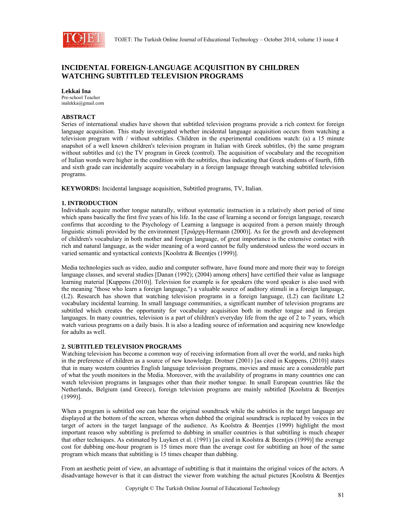

# **INCIDENTAL FOREIGN-LANGUAGE ACQUISITION BY CHILDREN WATCHING SUBTITLED TELEVISION PROGRAMS**

## **Lekkai Ina**

Pre-school Teacher inalekka@gmail.com

## **ABSTRACT**

Series of international studies have shown that subtitled television programs provide a rich context for foreign language acquisition. This study investigated whether incidental language acquisition occurs from watching a television program with / without subtitles. Children in the experimental conditions watch: (a) a 15 minute snapshot of a well known children's television program in Italian with Greek subtitles, (b) the same program without subtitles and (c) the TV program in Greek (control). The acquisition of vocabulary and the recognition of Italian words were higher in the condition with the subtitles, thus indicating that Greek students of fourth, fifth and sixth grade can incidentally acquire vocabulary in a foreign language through watching subtitled television programs.

**KEYWORDS:** Incidental language acquisition, Subtitled programs, TV, Italian.

#### **1. INTRODUCTION**

Individuals acquire mother tongue naturally, without systematic instruction in a relatively short period of time which spans basically the first five years of his life. In the case of learning a second or foreign language, research confirms that according to the Psychology of Learning a language is acquired from a person mainly through linguistic stimuli provided by the environment [Τριάρχη-Hermann (2000)]. As for the growth and development of children's vocabulary in both mother and foreign language, of great importance is the extensive contact with rich and natural language, as the wider meaning of a word cannot be fully understood unless the word occurs in varied semantic and syntactical contexts [Koolstra & Beentjes (1999)].

Media technologies such as video, audio and computer software, have found more and more their way to foreign language classes, and several studies [Danan (1992); (2004) among others] have certified their value as language learning material [Kuppens (2010)]. Television for example is for speakers (the word speaker is also used with the meaning "those who learn a foreign language,") a valuable source of auditory stimuli in a foreign language, (L2). Research has shown that watching television programs in a foreign language, (L2) can facilitate L2 vocabulary incidental learning. In small language communities, a significant number of television programs are subtitled which creates the opportunity for vocabulary acquisition both in mother tongue and in foreign languages. In many countries, television is a part of children's everyday life from the age of 2 to 7 years, which watch various programs on a daily basis. It is also a leading source of information and acquiring new knowledge for adults as well.

## **2. SUBTITLED TELEVISION PROGRAMS**

Watching television has become a common way of receiving information from all over the world, and ranks high in the preference of children as a source of new knowledge. Drotner (2001) [as cited in Kuppens, (2010)] states that in many western countries English language television programs, movies and music are a considerable part of what the youth monitors in the Media. Moreover, with the availability of programs in many countries one can watch television programs in languages other than their mother tongue. In small European countries like the Netherlands, Belgium (and Greece), foreign television programs are mainly subtitled [Koolstra & Beentjes (1999)].

When a program is subtitled one can hear the original soundtrack while the subtitles in the target language are displayed at the bottom of the screen, whereas when dubbed the original soundtrack is replaced by voices in the target of actors in the target language of the audience. As Koolstra & Beentjes (1999) highlight the most important reason why subtitling is preferred to dubbing in smaller countries is that subtitling is much cheaper that other techniques. As estimated by Luyken et al. (1991) [as cited in Koolstra & Beentjes (1999)] the average cost for dubbing one-hour program is 15 times more than the average cost for subtitling an hour of the same program which means that subtitling is 15 times cheaper than dubbing.

From an aesthetic point of view, an advantage of subtitling is that it maintains the original voices of the actors. A disadvantage however is that it can distract the viewer from watching the actual pictures [Koolstra & Beentjes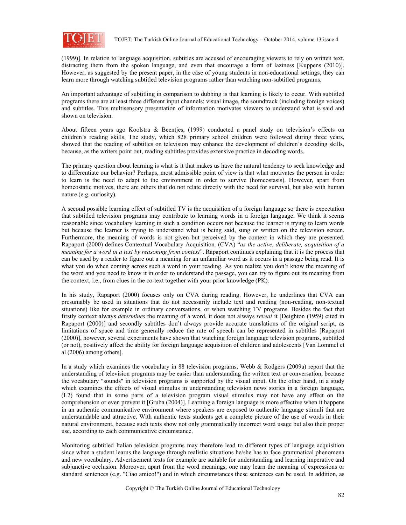

(1999)]. In relation to language acquisition, subtitles are accused of encouraging viewers to rely on written text, distracting them from the spoken language, and even that encourage a form of laziness [Kuppens (2010)]. However, as suggested by the present paper, in the case of young students in non-educational settings, they can learn more through watching subtitled television programs rather than watching non-subtitled programs.

An important advantage of subtitling in comparison to dubbing is that learning is likely to occur. With subtitled programs there are at least three different input channels: visual image, the soundtrack (including foreign voices) and subtitles. This multisensory presentation of information motivates viewers to understand what is said and shown on television.

About fifteen years ago Koolstra & Beentjes, (1999) conducted a panel study on television's effects on children's reading skills. The study, which 828 primary school children were followed during three years, showed that the reading of subtitles on television may enhance the development of children's decoding skills, because, as the writers point out, reading subtitles provides extensive practice in decoding words.

The primary question about learning is what is it that makes us have the natural tendency to seek knowledge and to differentiate our behavior? Perhaps, most admissible point of view is that what motivates the person in order to learn is the need to adapt to the environment in order to survive (homeostasis). However, apart from homeostatic motives, there are others that do not relate directly with the need for survival, but also with human nature (e.g. curiosity).

A second possible learning effect of subtitled TV is the acquisition of a foreign language so there is expectation that subtitled television programs may contribute to learning words in a foreign language. We think it seems reasonable since vocabulary learning in such a condition occurs not because the learner is trying to learn words but because the learner is trying to understand what is being said, sung or written on the television screen. Furthermore, the meaning of words is not given but perceived by the context in which they are presented. Rapaport (2000) defines Contextual Vocabulary Acquisition*,* (CVA) "*as the active, deliberate, acquisition of a meaning for a word in a text by reasoning from context*". Rapaport continues explaining that it is the process that can be used by a reader to figure out a meaning for an unfamiliar word as it occurs in a passage being read. It is what you do when coming across such a word in your reading. As you realize you don't know the meaning of the word and you need to know it in order to understand the passage, you can try to figure out its meaning from the context, i.e., from clues in the co-text together with your prior knowledge (PK).

In his study, Rapaport (2000) focuses only on CVA during reading. However, he underlines that CVA can presumably be used in situations that do not necessarily include text and reading (non-reading, non-textual situations) like for example in ordinary conversations, or when watching TV programs. Besides the fact that firstly context always *determines* the meaning of a word, it does not always *reveal* it [Deighton (1959) cited in Rapaport (2000)] and secondly subtitles don't always provide accurate translations of the original script, as limitations of space and time generally reduce the rate of speech can be represented in subtitles [Rapaport (2000)], however, several experiments have shown that watching foreign language television programs, subtitled (or not), positively affect the ability for foreign language acquisition of children and adolescents [Van Lommel et al (2006) among others].

In a study which examines the vocabulary in 88 television programs, Webb & Rodgers (2009a) report that the understanding of television programs may be easier than understanding the written text or conversation, because the vocabulary "sounds" in television programs is supported by the visual input. On the other hand, in a study which examines the effects of visual stimulus in understanding television news stories in a foreign language, (L2) found that in some parts of a television program visual stimulus may not have any effect on the comprehension or even prevent it [Gruba (2004)]. Learning a foreign language is more effective when it happens in an authentic communicative environment where speakers are exposed to authentic language stimuli that are understandable and attractive. With authentic texts students get a complete picture of the use of words in their natural environment, because such texts show not only grammatically incorrect word usage but also their proper use, according to each communicative circumstance.

Monitoring subtitled Italian television programs may therefore lead to different types of language acquisition since when a student learns the language through realistic situations he/she has to face grammatical phenomena and new vocabulary. Advertisement texts for example are suitable for understanding and learning imperative and subjunctive occlusion. Moreover, apart from the word meanings, one may learn the meaning of expressions or standard sentences (e.g. "Ciao amico!") and in which circumstances these sentences can be used. In addition, as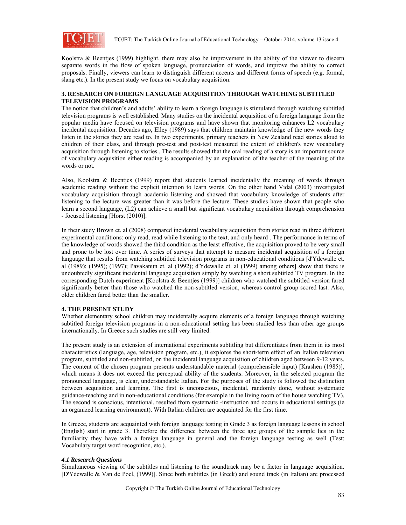

Koolstra & Beentjes (1999) highlight, there may also be improvement in the ability of the viewer to discern separate words in the flow of spoken language, pronunciation of words, and improve the ability to correct proposals. Finally, viewers can learn to distinguish different accents and different forms of speech (e.g. formal, slang etc.). In the present study we focus on vocabulary acquisition.

## **3. RESEARCH ON FOREIGN LANGUAGE ACQUISITION THROUGH WATCHING SUBTITLED TELEVISION PROGRAMS**

The notion that children's and adults' ability to learn a foreign language is stimulated through watching subtitled television programs is well established. Many studies on the incidental acquisition of a foreign language from the popular media have focused on television programs and have shown that monitoring enhances L2 vocabulary incidental acquisition. Decades ago, Elley (1989) says that children maintain knowledge of the new words they listen in the stories they are read to. In two experiments, primary teachers in New Zealand read stories aloud to children of their class, and through pre-test and post-test measured the extent of children's new vocabulary acquisition through listening to stories.. The results showed that the oral reading of a story is an important source of vocabulary acquisition either reading is accompanied by an explanation of the teacher of the meaning of the words or not.

Also, Koolstra & Beentjes (1999) report that students learned incidentally the meaning of words through academic reading without the explicit intention to learn words. On the other hand Vidal (2003) investigated vocabulary acquisition through academic listening and showed that vocabulary knowledge of students after listening to the lecture was greater than it was before the lecture. These studies have shown that people who learn a second language, (L2) can achieve a small but significant vocabulary acquisition through comprehension - focused listening [Horst (2010)].

In their study Brown et. al (2008) compared incidental vocabulary acquisition from stories read in three different experimental conditions: only read, read while listening to the text, and only heard . The performance in terms of the knowledge of words showed the third condition as the least effective, the acquisition proved to be very small and prone to be lost over time. A series of surveys that attempt to measure incidental acquisition of a foreign language that results from watching subtitled television programs in non-educational conditions [d'Ydewalle et. al (1989); (1995); (1997); Pavakanun et. al (1992); d'Ydewalle et. al (1999) among others] show that there is undoubtedly significant incidental language acquisition simply by watching a short subtitled TV program. In the corresponding Dutch experiment [Koolstra & Beentjes (1999)] children who watched the subtitled version fared significantly better than those who watched the non-subtitled version, whereas control group scored last. Also, older children fared better than the smaller.

#### **4. THE PRESENT STUDY**

Whether elementary school children may incidentally acquire elements of a foreign language through watching subtitled foreign television programs in a non-educational setting has been studied less than other age groups internationally. In Greece such studies are still very limited.

The present study is an extension of international experiments subtitling but differentiates from them in its most characteristics (language, age, television program, etc.), it explores the short-term effect of an Italian television program, subtitled and non-subtitled, on the incidental language acquisition of children aged between 9-12 years. The content of the chosen program presents understandable material (comprehensible input) [Krashen (1985)], which means it does not exceed the perceptual ability of the students. Moreover, in the selected program the pronounced language, is clear, understandable Italian. For the purposes of the study is followed the distinction between acquisition and learning. The first is unconscious, incidental, randomly done, without systematic guidance-teaching and in non-educational conditions (for example in the living room of the house watching TV). The second is conscious, intentional, resulted from systematic -instruction and occurs in educational settings (ie an organized learning environment). With Italian children are acquainted for the first time.

In Greece, students are acquainted with foreign language testing in Grade 3 as foreign language lessons in school (English) start in grade 3. Therefore the difference between the three age groups of the sample lies in the familiarity they have with a foreign language in general and the foreign language testing as well (Test: Vocabulary target word recognition, etc.).

#### *4.1 Research Questions*

Simultaneous viewing of the subtitles and listening to the soundtrack may be a factor in language acquisition. [D'Ydewalle & Van de Poel, (1999)]. Since both subtitles (in Greek) and sound track (in Italian) are processed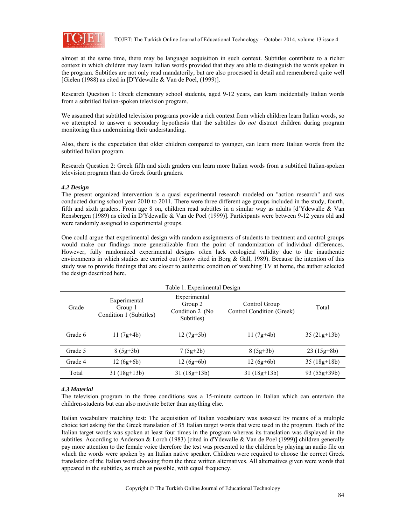

almost at the same time, there may be language acquisition in such context. Subtitles contribute to a richer context in which children may learn Italian words provided that they are able to distinguish the words spoken in the program. Subtitles are not only read mandatorily, but are also processed in detail and remembered quite well [Gielen (1988) as cited in [D'Ydewalle & Van de Poel, (1999)].

Research Question 1: Greek elementary school students, aged 9-12 years, can learn incidentally Italian words from a subtitled Italian-spoken television program.

We assumed that subtitled television programs provide a rich context from which children learn Italian words, so we attempted to answer a secondary hypothesis that the subtitles do *not* distract children during program monitoring thus undermining their understanding.

Also, there is the expectation that older children compared to younger, can learn more Italian words from the subtitled Italian program.

Research Question 2: Greek fifth and sixth graders can learn more Italian words from a subtitled Italian-spoken television program than do Greek fourth graders.

#### *4.2 Design*

The present organized intervention is a quasi experimental research modeled on "action research" and was conducted during school year 2010 to 2011. There were three different age groups included in the study, fourth, fifth and sixth graders. From age 8 on, children read subtitles in a similar way as adults [d'Ydewalle & Van Rensbergen (1989) as cited in D'Ydewalle & Van de Poel (1999)]. Participants were between 9-12 years old and were randomly assigned to experimental groups.

One could argue that experimental design with random assignments of students to treatment and control groups would make our findings more generalizable from the point of randomization of individual differences. However, fully randomized experimental designs often lack ecological validity due to the inauthentic environments in which studies are carried out (Snow cited in Borg & Gall, 1989). Because the intention of this study was to provide findings that are closer to authentic condition of watching TV at home, the author selected the design described here.

| Grade   | Experimental<br>Group 1<br>Condition 1 (Subtitles) | Experimental<br>Group 2<br>Condition 2 (No<br>Subtitles) | Control Group<br>Control Condition (Greek) | Total         |
|---------|----------------------------------------------------|----------------------------------------------------------|--------------------------------------------|---------------|
| Grade 6 | 11 $(7g+4b)$                                       | $12(7g+5b)$                                              | $11(7g+4b)$                                | $35(21g+13b)$ |
| Grade 5 | $8(5g+3b)$                                         | $7(5g+2b)$                                               | $8(5g+3b)$                                 | $23(15g+8b)$  |
| Grade 4 | $12(6g+6b)$                                        | $12(6g+6b)$                                              | $12(6g+6b)$                                | $35(18g+18b)$ |
| Total   | $31(18g+13b)$                                      | $31(18g+13b)$                                            | $31(18g+13b)$                              | $93(55g+39b)$ |

#### *4.3 Material*

The television program in the three conditions was a 15-minute cartoon in Italian which can entertain the children-students but can also motivate better than anything else.

Italian vocabulary matching test: The acquisition of Italian vocabulary was assessed by means of a multiple choice test asking for the Greek translation of 35 Italian target words that were used in the program. Each of the Italian target words was spoken at least four times in the program whereas its translation was displayed in the subtitles. According to Anderson & Lorch (1983) [cited in d'Ydewalle & Van de Poel (1999)] children generally pay more attention to the female voice therefore the test was presented to the children by playing an audio file on which the words were spoken by an Italian native speaker. Children were required to choose the correct Greek translation of the Italian word choosing from the three written alternatives. All alternatives given were words that appeared in the subtitles, as much as possible, with equal frequency.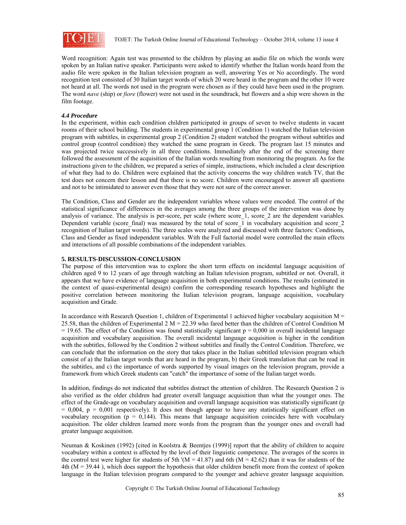

Word recognition: Again test was presented to the children by playing an audio file on which the words were spoken by an Italian native speaker. Participants were asked to identify whether the Italian words heard from the audio file were spoken in the Italian television program as well, answering Yes or No accordingly. The word recognition test consisted of 30 Italian target words of which 20 were heard in the program and the other 10 were not heard at all. The words not used in the program were chosen as if they could have been used in the program. The word *nave* (ship) or *fiore* (flower) were not used in the soundtrack, but flowers and a ship were shown in the film footage.

## *4.4 Procedure*

In the experiment, within each condition children participated in groups of seven to twelve students in vacant rooms of their school building. The students in experimental group 1 (Condition 1) watched the Italian television program with subtitles, in experimental group 2 (Condition 2) student watched the program without subtitles and control group (control condition) they watched the same program in Greek. The program last 15 minutes and was projected twice successively in all three conditions. Immediately after the end of the screening there followed the assessment of the acquisition of the Italian words resulting from monitoring the program. As for the instructions given to the children, we prepared a series of simple, instructions, which included a clear description of what they had to do. Children were explained that the activity concerns the way children watch TV, that the test does not concern their lesson and that there is no score. Children were encouraged to answer all questions and not to be intimidated to answer even those that they were not sure of the correct answer.

The Condition, Class and Gender are the independent variables whose values were encoded. The control of the statistical significance of differences in the averages among the three groups of the intervention was done by analysis of variance. The analysis is per-score, per scale (where score 1, score 2 are the dependent variables. Dependent variable (score final) was measured by the total of score  $\overline{1}$  in vocabulary acquisition and score 2 recognition of Italian target words). The three scales were analyzed and discussed with three factors: Conditions, Class and Gender as fixed independent variables. With the Full factorial model were controlled the main effects and interactions of all possible combinations of the independent variables.

## **5. RESULTS-DISCUSSION-CONCLUSION**

The purpose of this intervention was to explore the short term effects on incidental language acquisition of children aged 9 to 12 years of age through watching an Italian television program, subtitled or not. Overall, it appears that we have evidence of language acquisition in both experimental conditions. The results (estimated in the context of quasi-experimental design) confirm the corresponding research hypotheses and highlight the positive correlation between monitoring the Italian television program, language acquisition, vocabulary acquisition and Grade.

In accordance with Research Question 1, children of Experimental 1 achieved higher vocabulary acquisition  $M =$ 25.58, than the children of Experimental 2 M = 22.39 who fared better than the children of Control Condition M  $= 19.65$ . The effect of the Condition was found statistically significant  $p = 0.000$  in overall incidental language acquisition and vocabulary acquisition. The overall incidental language acquisition is higher in the condition with the subtitles, followed by the Condition 2 without subtitles and finally the Control Condition. Therefore, we can conclude that the information on the story that takes place in the Italian subtitled television program which consist of a) the Italian target words that are heard in the program, b) their Greek translation that can be read in the subtitles, and c) the importance of words supported by visual images on the television program, provide a framework from which Greek students can "catch" the importance of some of the Italian target words.

In addition, findings do not indicated that subtitles distract the attention of children. The Research Question 2 is also verified as the older children had greater overall language acquisition than what the younger ones. The effect of the Grade-age on vocabulary acquisition and overall language acquisition was statistically significant (p  $= 0.004$ ,  $p = 0.001$  respectively). It does not though appear to have any statistically significant effect on vocabulary recognition ( $p = 0.144$ ). This means that language acquisition coincides here with vocabulary acquisition. The older children learned more words from the program than the younger ones and overall had greater language acquisition.

Neuman & Koskinen (1992) [cited in Koolstra & Beentjes (1999)] report that the ability of children to acquire vocabulary within a context is affected by the level of their linguistic competence. The averages of the scores in the control test were higher for students of 5th '( $M = 41.87$ ) and 6th ( $M = 42.62$ ) than it was for students of the 4th (M = 39.44 ), which does support the hypothesis that older children benefit more from the context of spoken language in the Italian television program compared to the younger and achieve greater language acquisition.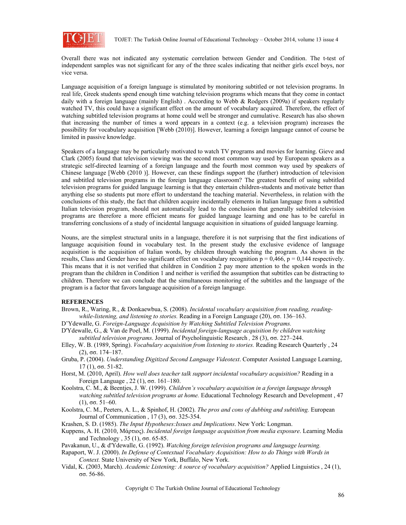

Overall there was not indicated any systematic correlation between Gender and Condition. The t-test of independent samples was not significant for any of the three scales indicating that neither girls excel boys, nor vice versa.

Language acquisition of a foreign language is stimulated by monitoring subtitled or not television programs. In real life, Greek students spend enough time watching television programs which means that they come in contact daily with a foreign language (mainly English) . According to Webb & Rodgers (2009a) if speakers regularly watched TV, this could have a significant effect on the amount of vocabulary acquired. Therefore, the effect of watching subtitled television programs at home could well be stronger and cumulative. Research has also shown that increasing the number of times a word appears in a context (e.g. a television program) increases the possibility for vocabulary acquisition [Webb (2010)]. However, learning a foreign language cannot of course be limited in passive knowledge.

Speakers of a language may be particularly motivated to watch TV programs and movies for learning. Gieve and Clark (2005) found that television viewing was the second most common way used by European speakers as a strategic self-directed learning of a foreign language and the fourth most common way used by speakers of Chinese language [Webb (2010 )]. However, can these findings support the (further) introduction of television and subtitled television programs in the foreign language classroom? The greatest benefit of using subtitled television programs for guided language learning is that they entertain children-students and motivate better than anything else so students put more effort to understand the teaching material. Nevertheless, in relation with the conclusions of this study, the fact that children acquire incidentally elements in Italian language from a subtitled Italian television program, should not automatically lead to the conclusion that generally subtitled television programs are therefore a more efficient means for guided language learning and one has to be careful in transferring conclusions of a study of incidental language acquisition in situations of guided language learning.

Nouns, are the simplest structural units in a language, therefore it is not surprising that the first indications of language acquisition found in vocabulary test. In the present study the exclusive evidence of language acquisition is the acquisition of Italian words, by children through watching the program. As shown in the results, Class and Gender have no significant effect on vocabulary recognition  $p = 0.466$ ,  $p = 0.144$  respectively. This means that it is not verified that children in Condition 2 pay more attention to the spoken words in the program than the children in Condition 1 and neither is verified the assumption that subtitles can be distracting to children. Therefore we can conclude that the simultaneous monitoring of the subtitles and the language of the program is a factor that favors language acquisition of a foreign language.

#### **REFERENCES**

- Brown, R., Waring, R., & Donkaewbua, S. (2008). *Incidental vocabulary acquisition from reading, readingwhile-listening, and listening to stories.* Reading in a Foreign Language (20), σσ. 136–163.
- D'Ydewalle, G. *Foreign-Language Acquisition by Watching Subtitled Television Programs.*
- D'Ydewalle, G., & Van de Poel, M. (1999). *Incidental foreign-language acquisition by children watching subtitled television programs*. Journal of Psycholinguistic Research *,* 28 (3), σσ. 227–244.
- Elley, W. B. (1989, Spring). *Vocabulary acquisition from listening to stories.* Reading Research Quarterly , 24 (2), σσ. 174–187.
- Gruba, P. (2004). *Understanding Digitized Second Language Videotext*. Computer Assisted Language Learning, 17 (1), σσ. 51-82.
- Horst, M. (2010, April). *How well does teacher talk support incidental vocabulary acquisition?* Reading in a Foreign Language , 22 (1), σσ. 161–180.
- Koolstra, C. M., & Beentjes, J. W. (1999). *Children's vocabulary acquisition in a foreign language through watching subtitled television programs at home.* Educational Technology Research and Development , 47 (1), σσ. 51–60.
- Koolstra, C. M., Peeters, A. L., & Spinhof, H. (2002). *The pros and cons of dubbing and subtitling.* European Journal of Communication , 17 (3), σσ. 325-354.

Krashen, S. D. (1985). *The Input Hypotheses:Issues and Implications*. New York: Longman.

- Kuppens, A. H. (2010, Μάρτιος). *Incidental foreign language acquisition from media exposure*. Learning Media and Technology , 35 (1), σσ. 65-85.
- Pavakanun, U., & d'Ydewalle, G. (1992). *Watching foreign television programs and language learning.*
- Rapaport, W. J. (2000). *In Defense of Contextual Vocabulary Acquisition: How to do Things with Words in Context.* State University of New York, Buffalo, New York.
- Vidal, K. (2003, March). *Academic Listening: A source of vocabulary acquisition?* Applied Linguistics , 24 (1), σσ. 56-86.